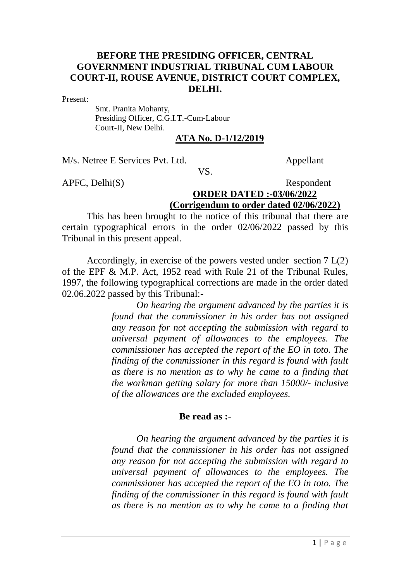# **BEFORE THE PRESIDING OFFICER, CENTRAL GOVERNMENT INDUSTRIAL TRIBUNAL CUM LABOUR COURT-II, ROUSE AVENUE, DISTRICT COURT COMPLEX, DELHI.**

Present:

 Smt. Pranita Mohanty, Presiding Officer, C.G.I.T.-Cum-Labour Court-II, New Delhi.

#### **ATA No. D-1/12/2019**

M/s. Netree E Services Pvt. Ltd. Appellant

VS.

## APFC, Delhi(S) Respondent **ORDER DATED :-03/06/2022 (Corrigendum to order dated 02/06/2022)**

This has been brought to the notice of this tribunal that there are certain typographical errors in the order 02/06/2022 passed by this Tribunal in this present appeal.

Accordingly, in exercise of the powers vested under section 7 L(2) of the EPF & M.P. Act, 1952 read with Rule 21 of the Tribunal Rules, 1997, the following typographical corrections are made in the order dated 02.06.2022 passed by this Tribunal:-

> *On hearing the argument advanced by the parties it is found that the commissioner in his order has not assigned any reason for not accepting the submission with regard to universal payment of allowances to the employees. The commissioner has accepted the report of the EO in toto. The finding of the commissioner in this regard is found with fault as there is no mention as to why he came to a finding that the workman getting salary for more than 15000/- inclusive of the allowances are the excluded employees.*

### **Be read as :-**

*On hearing the argument advanced by the parties it is found that the commissioner in his order has not assigned any reason for not accepting the submission with regard to universal payment of allowances to the employees. The commissioner has accepted the report of the EO in toto. The finding of the commissioner in this regard is found with fault as there is no mention as to why he came to a finding that*